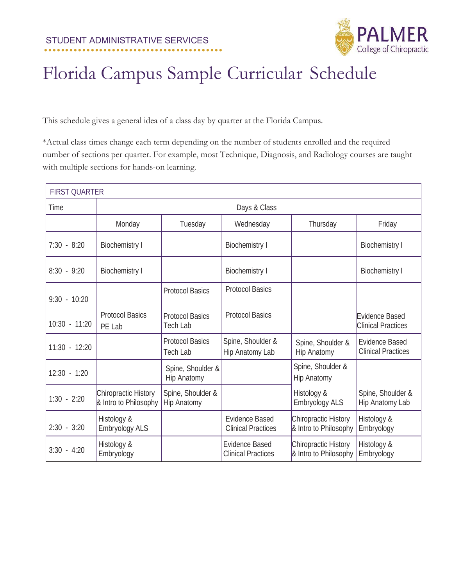

This schedule gives a general idea of a class day by quarter at the Florida Campus.

\*Actual class times change each term depending on the number of students enrolled and the required number of sections per quarter. For example, most Technique, Diagnosis, and Radiology courses are taught with multiple sections for hands-on learning.

| <b>FIRST QUARTER</b> |                                               |                                           |                                                    |                                               |                                                    |  |
|----------------------|-----------------------------------------------|-------------------------------------------|----------------------------------------------------|-----------------------------------------------|----------------------------------------------------|--|
| Time                 | Days & Class                                  |                                           |                                                    |                                               |                                                    |  |
|                      | Monday                                        | Tuesday                                   | Wednesday                                          | Thursday                                      | Friday                                             |  |
| $7:30 - 8:20$        | <b>Biochemistry I</b>                         |                                           | <b>Biochemistry I</b>                              |                                               | <b>Biochemistry I</b>                              |  |
| $8:30 - 9:20$        | <b>Biochemistry I</b>                         |                                           | <b>Biochemistry I</b>                              |                                               | <b>Biochemistry I</b>                              |  |
| $9:30 - 10:20$       |                                               | <b>Protocol Basics</b>                    | <b>Protocol Basics</b>                             |                                               |                                                    |  |
| 10:30 - 11:20        | <b>Protocol Basics</b><br>PE Lab              | <b>Protocol Basics</b><br><b>Tech Lab</b> | <b>Protocol Basics</b>                             |                                               | Evidence Based<br><b>Clinical Practices</b>        |  |
| $11:30 - 12:20$      |                                               | <b>Protocol Basics</b><br><b>Tech Lab</b> | Spine, Shoulder &<br>Hip Anatomy Lab               | Spine, Shoulder &<br><b>Hip Anatomy</b>       | <b>Evidence Based</b><br><b>Clinical Practices</b> |  |
| $12:30 - 1:20$       |                                               | Spine, Shoulder &<br><b>Hip Anatomy</b>   |                                                    | Spine, Shoulder &<br><b>Hip Anatomy</b>       |                                                    |  |
| $1:30 - 2:20$        | Chiropractic History<br>& Intro to Philosophy | Spine, Shoulder &<br><b>Hip Anatomy</b>   |                                                    | Histology &<br>Embryology ALS                 | Spine, Shoulder &<br>Hip Anatomy Lab               |  |
| $2:30 - 3:20$        | Histology &<br>Embryology ALS                 |                                           | <b>Evidence Based</b><br><b>Clinical Practices</b> | Chiropractic History<br>& Intro to Philosophy | Histology &<br>Embryology                          |  |
| $3:30 - 4:20$        | Histology &<br>Embryology                     |                                           | <b>Evidence Based</b><br><b>Clinical Practices</b> | Chiropractic History<br>& Intro to Philosophy | Histology &<br>Embryology                          |  |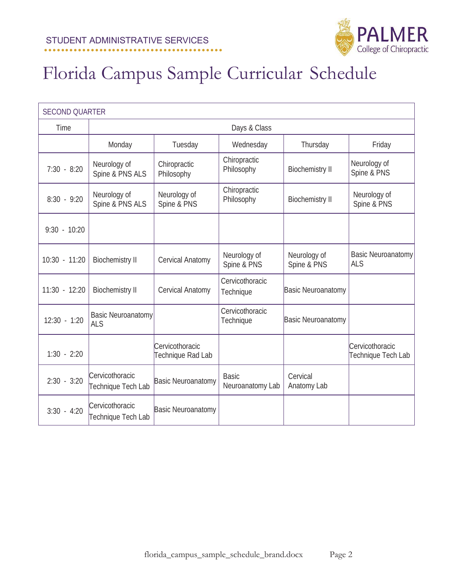

| <b>SECOND QUARTER</b> |                                         |                                      |                                  |                             |                                         |  |
|-----------------------|-----------------------------------------|--------------------------------------|----------------------------------|-----------------------------|-----------------------------------------|--|
| Time                  |                                         |                                      | Days & Class                     |                             |                                         |  |
|                       | Monday                                  | Tuesday                              | Wednesday                        | Thursday                    | Friday                                  |  |
| $7:30 - 8:20$         | Neurology of<br>Spine & PNS ALS         | Chiropractic<br>Philosophy           | Chiropractic<br>Philosophy       | <b>Biochemistry II</b>      | Neurology of<br>Spine & PNS             |  |
| $8:30 - 9:20$         | Neurology of<br>Spine & PNS ALS         | Neurology of<br>Spine & PNS          | Chiropractic<br>Philosophy       | <b>Biochemistry II</b>      | Neurology of<br>Spine & PNS             |  |
| $9:30 - 10:20$        |                                         |                                      |                                  |                             |                                         |  |
| $10:30 - 11:20$       | <b>Biochemistry II</b>                  | Cervical Anatomy                     | Neurology of<br>Spine & PNS      | Neurology of<br>Spine & PNS | <b>Basic Neuroanatomy</b><br><b>ALS</b> |  |
| $11:30 - 12:20$       | <b>Biochemistry II</b>                  | Cervical Anatomy                     | Cervicothoracic<br>Technique     | <b>Basic Neuroanatomy</b>   |                                         |  |
| $12:30 - 1:20$        | <b>Basic Neuroanatomy</b><br><b>ALS</b> |                                      | Cervicothoracic<br>Technique     | <b>Basic Neuroanatomy</b>   |                                         |  |
| $1:30 - 2:20$         |                                         | Cervicothoracic<br>Technique Rad Lab |                                  |                             | Cervicothoracic<br>Technique Tech Lab   |  |
| $2:30 - 3:20$         | Cervicothoracic<br>Technique Tech Lab   | <b>Basic Neuroanatomy</b>            | <b>Basic</b><br>Neuroanatomy Lab | Cervical<br>Anatomy Lab     |                                         |  |
| $3:30 - 4:20$         | Cervicothoracic<br>Technique Tech Lab   | <b>Basic Neuroanatomy</b>            |                                  |                             |                                         |  |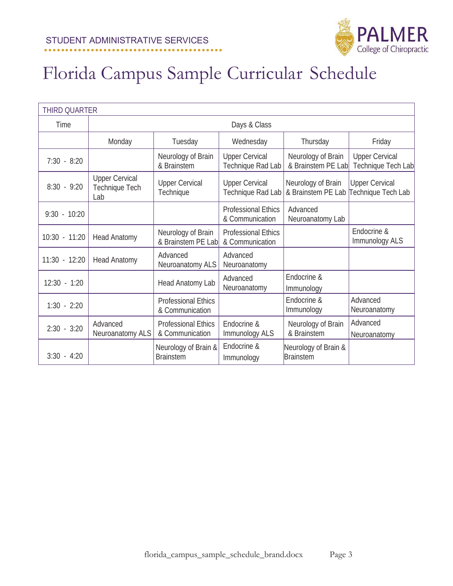

|                 | <b>THIRD QUARTER</b>                           |                                               |                                               |                                          |                                             |  |
|-----------------|------------------------------------------------|-----------------------------------------------|-----------------------------------------------|------------------------------------------|---------------------------------------------|--|
| Time            |                                                |                                               | Days & Class                                  |                                          |                                             |  |
|                 | Monday                                         | Tuesday                                       | Wednesday                                     | Thursday                                 | Friday                                      |  |
| $7:30 - 8:20$   |                                                | Neurology of Brain<br>& Brainstem             | <b>Upper Cervical</b><br>Technique Rad Lab    | Neurology of Brain<br>& Brainstem PE Lab | <b>Upper Cervical</b><br>Technique Tech Lab |  |
| $8:30 - 9:20$   | <b>Upper Cervical</b><br>Technique Tech<br>Lab | <b>Upper Cervical</b><br>Technique            | <b>Upper Cervical</b><br>Technique Rad Lab    | Neurology of Brain<br>& Brainstem PE Lab | <b>Upper Cervical</b><br>Technique Tech Lab |  |
| $9:30 - 10:20$  |                                                |                                               | <b>Professional Ethics</b><br>& Communication | Advanced<br>Neuroanatomy Lab             |                                             |  |
| $10:30 - 11:20$ | <b>Head Anatomy</b>                            | Neurology of Brain<br>& Brainstem PE Lab      | <b>Professional Ethics</b><br>& Communication |                                          | Endocrine &<br>Immunology ALS               |  |
| $11:30 - 12:20$ | <b>Head Anatomy</b>                            | Advanced<br>Neuroanatomy ALS                  | Advanced<br>Neuroanatomy                      |                                          |                                             |  |
| $12:30 - 1:20$  |                                                | Head Anatomy Lab                              | Advanced<br>Neuroanatomy                      | Endocrine &<br>Immunology                |                                             |  |
| $1:30 - 2:20$   |                                                | <b>Professional Ethics</b><br>& Communication |                                               | Endocrine &<br>Immunology                | Advanced<br>Neuroanatomy                    |  |
| $2:30 - 3:20$   | Advanced<br>Neuroanatomy ALS                   | <b>Professional Ethics</b><br>& Communication | Endocrine &<br>Immunology ALS                 | Neurology of Brain<br>& Brainstem        | Advanced<br>Neuroanatomy                    |  |
| $3:30 - 4:20$   |                                                | Neurology of Brain &<br><b>Brainstem</b>      | Endocrine &<br>Immunology                     | Neurology of Brain &<br><b>Brainstem</b> |                                             |  |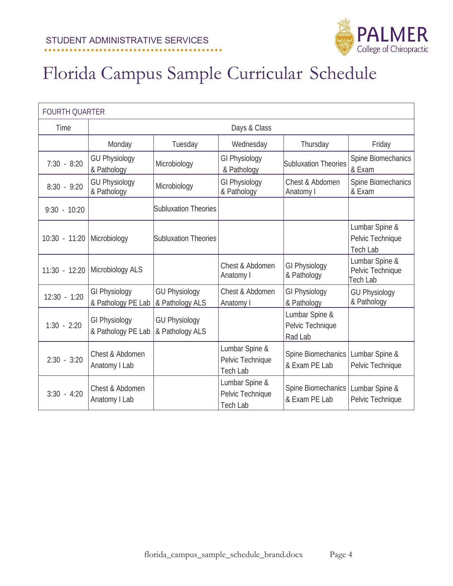

| <b>FOURTH QUARTER</b> |                                            |                                         |                                                       |                                               |                                                       |  |
|-----------------------|--------------------------------------------|-----------------------------------------|-------------------------------------------------------|-----------------------------------------------|-------------------------------------------------------|--|
| Time                  |                                            |                                         | Days & Class                                          |                                               |                                                       |  |
|                       | Monday                                     | Tuesday                                 | Wednesday                                             | Thursday                                      | Friday                                                |  |
| $7:30 - 8:20$         | <b>GU Physiology</b><br>& Pathology        | Microbiology                            | <b>GI Physiology</b><br>& Pathology                   | Subluxation Theories                          | Spine Biomechanics<br>& Exam                          |  |
| $8:30 - 9:20$         | <b>GU Physiology</b><br>& Pathology        | Microbiology                            | <b>GI Physiology</b><br>& Pathology                   | Chest & Abdomen<br>Anatomy I                  | Spine Biomechanics<br>& Exam                          |  |
| $9:30 - 10:20$        |                                            | <b>Subluxation Theories</b>             |                                                       |                                               |                                                       |  |
| $10:30 - 11:20$       | Microbiology                               | Subluxation Theories                    |                                                       |                                               | Lumbar Spine &<br>Pelvic Technique<br><b>Tech Lab</b> |  |
| $11:30 - 12:20$       | Microbiology ALS                           |                                         | Chest & Abdomen<br>Anatomy I                          | <b>GI Physiology</b><br>& Pathology           | Lumbar Spine &<br>Pelvic Technique<br><b>Tech Lab</b> |  |
| $12:30 - 1:20$        | <b>GI Physiology</b><br>& Pathology PE Lab | <b>GU Physiology</b><br>& Pathology ALS | Chest & Abdomen<br>Anatomy I                          | GI Physiology<br>& Pathology                  | <b>GU Physiology</b><br>& Pathology                   |  |
| $1:30 - 2:20$         | <b>GI Physiology</b><br>& Pathology PE Lab | <b>GU Physiology</b><br>& Pathology ALS |                                                       | Lumbar Spine &<br>Pelvic Technique<br>Rad Lab |                                                       |  |
| $2:30 - 3:20$         | Chest & Abdomen<br>Anatomy I Lab           |                                         | Lumbar Spine &<br>Pelvic Technique<br><b>Tech Lab</b> | Spine Biomechanics<br>& Exam PE Lab           | Lumbar Spine &<br>Pelvic Technique                    |  |
| $3:30 - 4:20$         | Chest & Abdomen<br>Anatomy I Lab           |                                         | Lumbar Spine &<br>Pelvic Technique<br><b>Tech Lab</b> | Spine Biomechanics<br>& Exam PE Lab           | Lumbar Spine &<br>Pelvic Technique                    |  |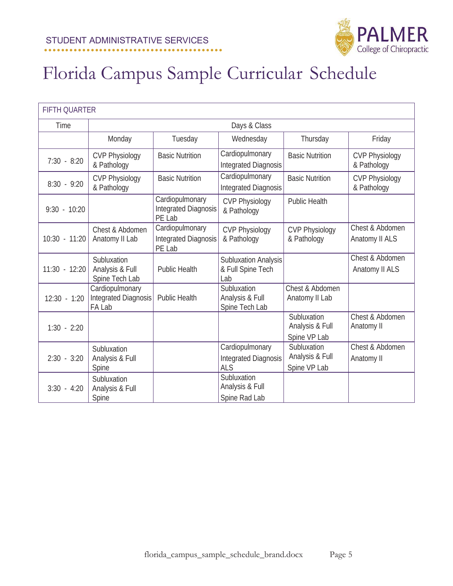

| <b>FIFTH QUARTER</b> |                                                   |                                                          |                                                         |                                                |                                      |  |  |
|----------------------|---------------------------------------------------|----------------------------------------------------------|---------------------------------------------------------|------------------------------------------------|--------------------------------------|--|--|
| Time                 |                                                   | Days & Class                                             |                                                         |                                                |                                      |  |  |
|                      | Monday                                            | Tuesday                                                  | Wednesday                                               | Thursday                                       | Friday                               |  |  |
| $7:30 - 8:20$        | <b>CVP Physiology</b><br>& Pathology              | <b>Basic Nutrition</b>                                   | Cardiopulmonary<br><b>Integrated Diagnosis</b>          | <b>Basic Nutrition</b>                         | <b>CVP Physiology</b><br>& Pathology |  |  |
| $8:30 - 9:20$        | <b>CVP Physiology</b><br>& Pathology              | <b>Basic Nutrition</b>                                   | Cardiopulmonary<br>Integrated Diagnosis                 | <b>Basic Nutrition</b>                         | <b>CVP Physiology</b><br>& Pathology |  |  |
| $9:30 - 10:20$       |                                                   | Cardiopulmonary<br><b>Integrated Diagnosis</b><br>PE Lab | <b>CVP Physiology</b><br>& Pathology                    | <b>Public Health</b>                           |                                      |  |  |
| 10:30 - 11:20        | Chest & Abdomen<br>Anatomy II Lab                 | Cardiopulmonary<br><b>Integrated Diagnosis</b><br>PE Lab | <b>CVP Physiology</b><br>& Pathology                    | <b>CVP Physiology</b><br>& Pathology           | Chest & Abdomen<br>Anatomy II ALS    |  |  |
| $11:30 - 12:20$      | Subluxation<br>Analysis & Full<br>Spine Tech Lab  | <b>Public Health</b>                                     | <b>Subluxation Analysis</b><br>& Full Spine Tech<br>Lab |                                                | Chest & Abdomen<br>Anatomy II ALS    |  |  |
| $12:30 - 1:20$       | Cardiopulmonary<br>Integrated Diagnosis<br>FA Lab | <b>Public Health</b>                                     | Subluxation<br>Analysis & Full<br>Spine Tech Lab        | Chest & Abdomen<br>Anatomy II Lab              |                                      |  |  |
| $1:30 - 2:20$        |                                                   |                                                          |                                                         | Subluxation<br>Analysis & Full<br>Spine VP Lab | Chest & Abdomen<br>Anatomy II        |  |  |
| $2:30 - 3:20$        | Subluxation<br>Analysis & Full<br>Spine           |                                                          | Cardiopulmonary<br>Integrated Diagnosis<br><b>ALS</b>   | Subluxation<br>Analysis & Full<br>Spine VP Lab | Chest & Abdomen<br>Anatomy II        |  |  |
| $3:30 - 4:20$        | Subluxation<br>Analysis & Full<br>Spine           |                                                          | Subluxation<br>Analysis & Full<br>Spine Rad Lab         |                                                |                                      |  |  |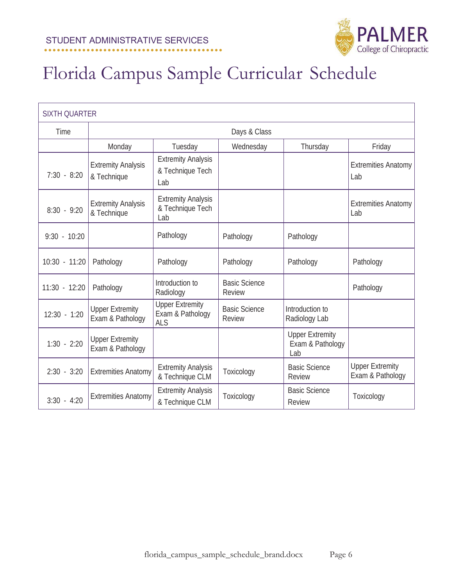

| <b>SIXTH QUARTER</b> |                                            |                                                          |                                       |                                                   |                                            |  |
|----------------------|--------------------------------------------|----------------------------------------------------------|---------------------------------------|---------------------------------------------------|--------------------------------------------|--|
| Time                 |                                            |                                                          | Days & Class                          |                                                   |                                            |  |
|                      | Monday                                     | Tuesday                                                  | Wednesday                             | Thursday                                          | Friday                                     |  |
| $7:30 - 8:20$        | <b>Extremity Analysis</b><br>& Technique   | <b>Extremity Analysis</b><br>& Technique Tech<br>Lab     |                                       |                                                   | <b>Extremities Anatomy</b><br>Lab          |  |
| $8:30 - 9:20$        | <b>Extremity Analysis</b><br>& Technique   | <b>Extremity Analysis</b><br>& Technique Tech<br>Lab     |                                       |                                                   | <b>Extremities Anatomy</b><br>Lab          |  |
| $9:30 - 10:20$       |                                            | Pathology                                                | Pathology                             | Pathology                                         |                                            |  |
| $10:30 - 11:20$      | Pathology                                  | Pathology                                                | Pathology                             | Pathology                                         | Pathology                                  |  |
| $11:30 - 12:20$      | Pathology                                  | Introduction to<br>Radiology                             | <b>Basic Science</b><br>Review        |                                                   | Pathology                                  |  |
| $12:30 - 1:20$       | <b>Upper Extremity</b><br>Exam & Pathology | <b>Upper Extremity</b><br>Exam & Pathology<br><b>ALS</b> | <b>Basic Science</b><br><b>Review</b> | Introduction to<br>Radiology Lab                  |                                            |  |
| $1:30 - 2:20$        | <b>Upper Extremity</b><br>Exam & Pathology |                                                          |                                       | <b>Upper Extremity</b><br>Exam & Pathology<br>Lab |                                            |  |
| $2:30 - 3:20$        | <b>Extremities Anatomy</b>                 | <b>Extremity Analysis</b><br>& Technique CLM             | Toxicology                            | <b>Basic Science</b><br><b>Review</b>             | <b>Upper Extremity</b><br>Exam & Pathology |  |
| $3:30 - 4:20$        | <b>Extremities Anatomy</b>                 | <b>Extremity Analysis</b><br>& Technique CLM             | Toxicology                            | <b>Basic Science</b><br>Review                    | Toxicology                                 |  |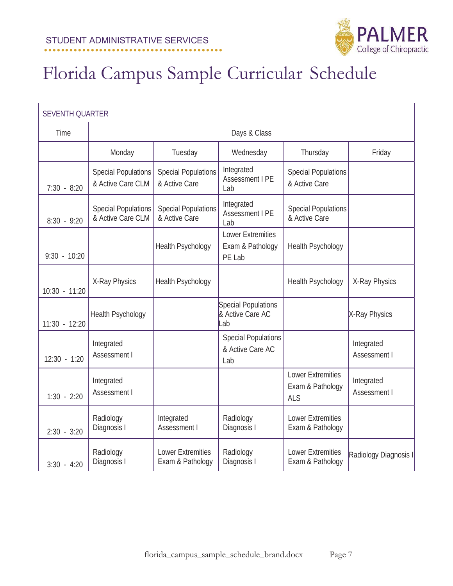

| <b>SEVENTH QUARTER</b> |                                                 |                                              |                                                        |                                                            |                            |
|------------------------|-------------------------------------------------|----------------------------------------------|--------------------------------------------------------|------------------------------------------------------------|----------------------------|
| Time                   |                                                 |                                              | Days & Class                                           |                                                            |                            |
|                        | Monday                                          | Tuesday                                      | Wednesday                                              | Thursday                                                   | Friday                     |
| $7:30 - 8:20$          | <b>Special Populations</b><br>& Active Care CLM | <b>Special Populations</b><br>& Active Care  | Integrated<br><b>Assessment I PE</b><br>Lab            | <b>Special Populations</b><br>& Active Care                |                            |
| $8:30 - 9:20$          | <b>Special Populations</b><br>& Active Care CLM | <b>Special Populations</b><br>& Active Care  | Integrated<br>Assessment I PE<br>Lab                   | <b>Special Populations</b><br>& Active Care                |                            |
| $9:30 - 10:20$         |                                                 | <b>Health Psychology</b>                     | <b>Lower Extremities</b><br>Exam & Pathology<br>PE Lab | Health Psychology                                          |                            |
| $10:30 - 11:20$        | X-Ray Physics                                   | <b>Health Psychology</b>                     |                                                        | <b>Health Psychology</b>                                   | X-Ray Physics              |
| 11:30 - 12:20          | <b>Health Psychology</b>                        |                                              | Special Populations<br>& Active Care AC<br>Lab         |                                                            | X-Ray Physics              |
| $12:30 - 1:20$         | Integrated<br>Assessment I                      |                                              | <b>Special Populations</b><br>& Active Care AC<br>Lab  |                                                            | Integrated<br>Assessment I |
| $1:30 - 2:20$          | Integrated<br>Assessment I                      |                                              |                                                        | <b>Lower Extremities</b><br>Exam & Pathology<br><b>ALS</b> | Integrated<br>Assessment I |
| $2:30 - 3:20$          | Radiology<br>Diagnosis I                        | Integrated<br>Assessment I                   | Radiology<br>Diagnosis I                               | <b>Lower Extremities</b><br>Exam & Pathology               |                            |
| $3:30 - 4:20$          | Radiology<br>Diagnosis I                        | <b>Lower Extremities</b><br>Exam & Pathology | Radiology<br>Diagnosis I                               | <b>Lower Extremities</b><br>Exam & Pathology               | Radiology Diagnosis I      |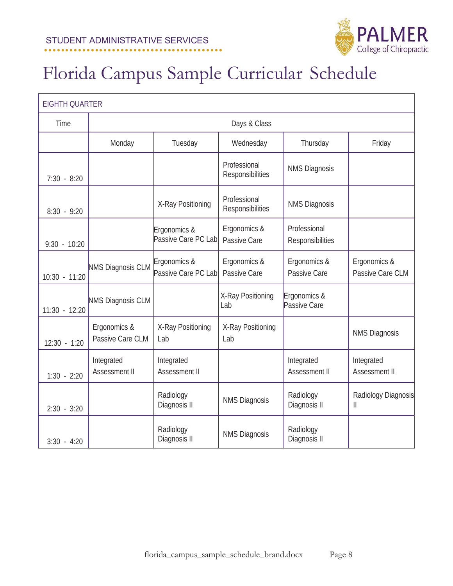

| <b>EIGHTH QUARTER</b> |                                  |                                     |                                  |                                  |                                     |
|-----------------------|----------------------------------|-------------------------------------|----------------------------------|----------------------------------|-------------------------------------|
| Time                  |                                  |                                     | Days & Class                     |                                  |                                     |
|                       | Monday                           | Tuesday                             | Wednesday                        | Thursday                         | Friday                              |
| $7:30 - 8:20$         |                                  |                                     | Professional<br>Responsibilities | <b>NMS Diagnosis</b>             |                                     |
| $8:30 - 9:20$         |                                  | X-Ray Positioning                   | Professional<br>Responsibilities | <b>NMS Diagnosis</b>             |                                     |
| $9:30 - 10:20$        |                                  | Ergonomics &<br>Passive Care PC Lab | Ergonomics &<br>Passive Care     | Professional<br>Responsibilities |                                     |
| 10:30 - 11:20         | <b>NMS Diagnosis CLM</b>         | Ergonomics &<br>Passive Care PC Lab | Ergonomics &<br>Passive Care     | Ergonomics &<br>Passive Care     | Ergonomics &<br>Passive Care CLM    |
| 11:30 - 12:20         | <b>NMS Diagnosis CLM</b>         |                                     | X-Ray Positioning<br>Lab         | Ergonomics &<br>Passive Care     |                                     |
| $12:30 - 1:20$        | Ergonomics &<br>Passive Care CLM | X-Ray Positioning<br>Lab            | X-Ray Positioning<br>Lab         |                                  | <b>NMS Diagnosis</b>                |
| $1:30 - 2:20$         | Integrated<br>Assessment II      | Integrated<br>Assessment II         |                                  | Integrated<br>Assessment II      | Integrated<br>Assessment II         |
| $2:30 - 3:20$         |                                  | Radiology<br>Diagnosis II           | <b>NMS Diagnosis</b>             | Radiology<br>Diagnosis II        | Radiology Diagnosis<br>$\mathbf{I}$ |
| $3:30 - 4:20$         |                                  | Radiology<br>Diagnosis II           | <b>NMS Diagnosis</b>             | Radiology<br>Diagnosis II        |                                     |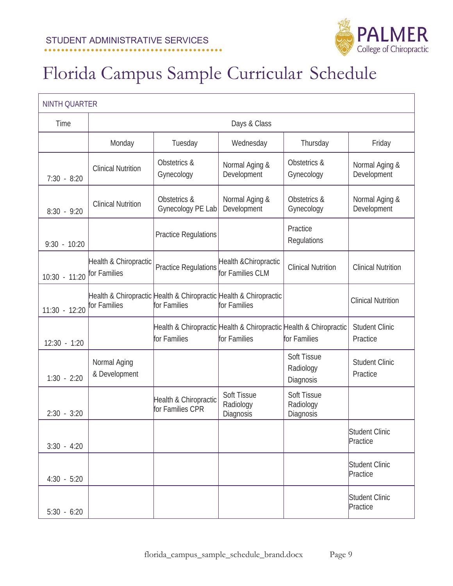

| <b>NINTH QUARTER</b> |                                                                                   |                                           |                                                                                   |                                       |                                   |  |
|----------------------|-----------------------------------------------------------------------------------|-------------------------------------------|-----------------------------------------------------------------------------------|---------------------------------------|-----------------------------------|--|
| Time                 |                                                                                   |                                           | Days & Class                                                                      |                                       |                                   |  |
|                      | Monday                                                                            | Tuesday                                   | Wednesday                                                                         | Thursday                              | Friday                            |  |
| $7:30 - 8:20$        | <b>Clinical Nutrition</b>                                                         | Obstetrics &<br>Gynecology                | Normal Aging &<br>Development                                                     | Obstetrics &<br>Gynecology            | Normal Aging &<br>Development     |  |
| $8:30 - 9:20$        | <b>Clinical Nutrition</b>                                                         | Obstetrics &<br>Gynecology PE Lab         | Normal Aging &<br>Development                                                     | Obstetrics &<br>Gynecology            | Normal Aging &<br>Development     |  |
| $9:30 - 10:20$       |                                                                                   | <b>Practice Regulations</b>               |                                                                                   | Practice<br>Regulations               |                                   |  |
| 10:30 - 11:20        | Health & Chiropractic<br>for Families                                             | <b>Practice Regulations</b>               | Health & Chiropractic<br>for Families CLM                                         | <b>Clinical Nutrition</b>             | <b>Clinical Nutrition</b>         |  |
| $11:30 - 12:20$      | Health & Chiropractic Health & Chiropractic Health & Chiropractic<br>for Families | for Families                              | for Families                                                                      |                                       | <b>Clinical Nutrition</b>         |  |
| $12:30 - 1:20$       |                                                                                   | for Families                              | Health & Chiropractic Health & Chiropractic Health & Chiropractic<br>for Families | for Families                          | <b>Student Clinic</b><br>Practice |  |
| $1:30 - 2:20$        | Normal Aging<br>& Development                                                     |                                           |                                                                                   | Soft Tissue<br>Radiology<br>Diagnosis | <b>Student Clinic</b><br>Practice |  |
| $2:30 - 3:20$        |                                                                                   | Health & Chiropractic<br>for Families CPR | Soft Tissue<br>Radiology<br>Diagnosis                                             | Soft Tissue<br>Radiology<br>Diagnosis |                                   |  |
| $3:30 - 4:20$        |                                                                                   |                                           |                                                                                   |                                       | <b>Student Clinic</b><br>Practice |  |
| $4:30 - 5:20$        |                                                                                   |                                           |                                                                                   |                                       | Student Clinic<br>Practice        |  |
| $5:30 - 6:20$        |                                                                                   |                                           |                                                                                   |                                       | Student Clinic<br>Practice        |  |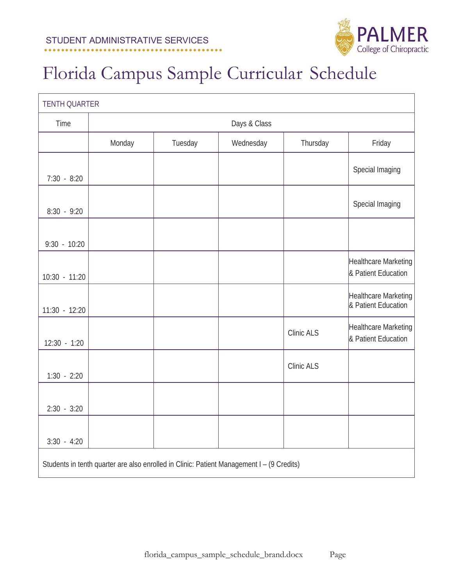

| <b>TENTH QUARTER</b> |                                                                                           |         |              |            |                                             |
|----------------------|-------------------------------------------------------------------------------------------|---------|--------------|------------|---------------------------------------------|
| Time                 |                                                                                           |         | Days & Class |            |                                             |
|                      | Monday                                                                                    | Tuesday | Wednesday    | Thursday   | Friday                                      |
| $7:30 - 8:20$        |                                                                                           |         |              |            | Special Imaging                             |
| $8:30 - 9:20$        |                                                                                           |         |              |            | Special Imaging                             |
| $9:30 - 10:20$       |                                                                                           |         |              |            |                                             |
| 10:30 - 11:20        |                                                                                           |         |              |            | Healthcare Marketing<br>& Patient Education |
| $11:30 - 12:20$      |                                                                                           |         |              |            | Healthcare Marketing<br>& Patient Education |
| $12:30 - 1:20$       |                                                                                           |         |              | Clinic ALS | Healthcare Marketing<br>& Patient Education |
| $1:30 - 2:20$        |                                                                                           |         |              | Clinic ALS |                                             |
| $2:30 - 3:20$        |                                                                                           |         |              |            |                                             |
| $3:30 - 4:20$        |                                                                                           |         |              |            |                                             |
|                      | Students in tenth quarter are also enrolled in Clinic: Patient Management I - (9 Credits) |         |              |            |                                             |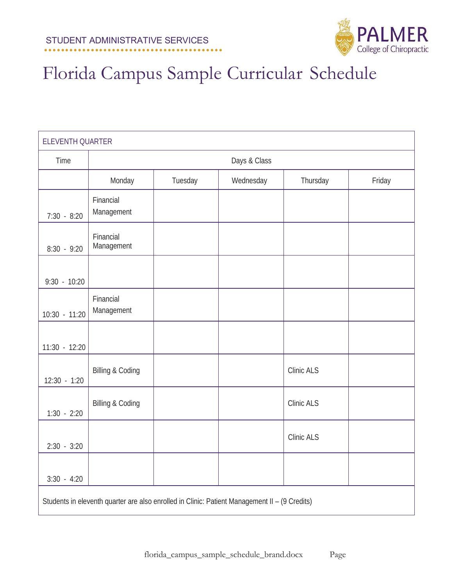

| ELEVENTH QUARTER |                                                                                               |         |              |            |        |  |
|------------------|-----------------------------------------------------------------------------------------------|---------|--------------|------------|--------|--|
| Time             |                                                                                               |         | Days & Class |            |        |  |
|                  | Monday                                                                                        | Tuesday | Wednesday    | Thursday   | Friday |  |
| $7:30 - 8:20$    | Financial<br>Management                                                                       |         |              |            |        |  |
| $8:30 - 9:20$    | Financial<br>Management                                                                       |         |              |            |        |  |
| $9:30 - 10:20$   |                                                                                               |         |              |            |        |  |
| 10:30 - 11:20    | Financial<br>Management                                                                       |         |              |            |        |  |
| 11:30 - 12:20    |                                                                                               |         |              |            |        |  |
| $12:30 - 1:20$   | <b>Billing &amp; Coding</b>                                                                   |         |              | Clinic ALS |        |  |
| $1:30 - 2:20$    | <b>Billing &amp; Coding</b>                                                                   |         |              | Clinic ALS |        |  |
| $2:30 - 3:20$    |                                                                                               |         |              | Clinic ALS |        |  |
| $3:30 - 4:20$    |                                                                                               |         |              |            |        |  |
|                  | Students in eleventh quarter are also enrolled in Clinic: Patient Management II - (9 Credits) |         |              |            |        |  |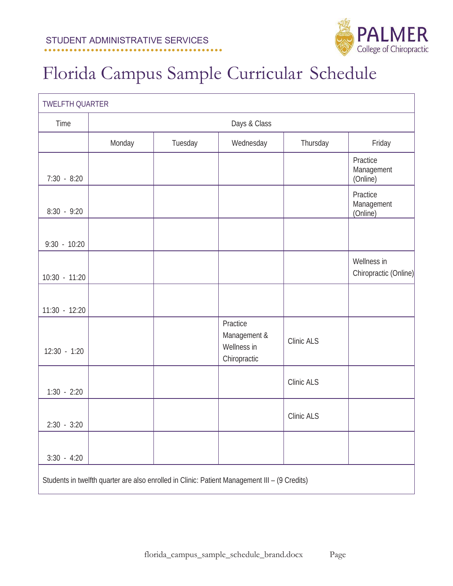

| <b>TWELFTH QUARTER</b> |        |                                                                                               |                                                         |            |                                      |  |
|------------------------|--------|-----------------------------------------------------------------------------------------------|---------------------------------------------------------|------------|--------------------------------------|--|
| Time                   |        |                                                                                               | Days & Class                                            |            |                                      |  |
|                        | Monday | Tuesday                                                                                       | Wednesday                                               | Thursday   | Friday                               |  |
| $7:30 - 8:20$          |        |                                                                                               |                                                         |            | Practice<br>Management<br>(Online)   |  |
| $8:30 - 9:20$          |        |                                                                                               |                                                         |            | Practice<br>Management<br>(Online)   |  |
| $9:30 - 10:20$         |        |                                                                                               |                                                         |            |                                      |  |
| $10:30 - 11:20$        |        |                                                                                               |                                                         |            | Wellness in<br>Chiropractic (Online) |  |
| $11:30 - 12:20$        |        |                                                                                               |                                                         |            |                                      |  |
| $12:30 - 1:20$         |        |                                                                                               | Practice<br>Management &<br>Wellness in<br>Chiropractic | Clinic ALS |                                      |  |
| $1:30 - 2:20$          |        |                                                                                               |                                                         | Clinic ALS |                                      |  |
| $2:30 - 3:20$          |        |                                                                                               |                                                         | Clinic ALS |                                      |  |
| $3:30 - 4:20$          |        |                                                                                               |                                                         |            |                                      |  |
|                        |        | Students in twelfth quarter are also enrolled in Clinic: Patient Management III - (9 Credits) |                                                         |            |                                      |  |